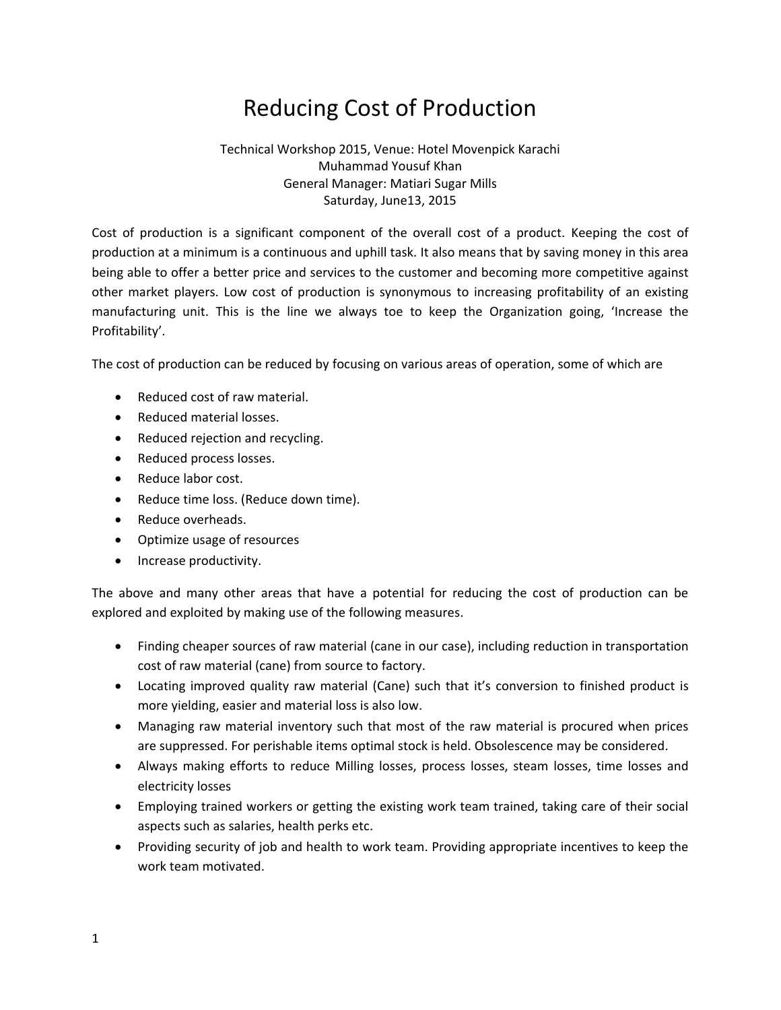# Reducing Cost of Production

#### Technical Workshop 2015, Venue: Hotel Movenpick Karachi Muhammad Yousuf Khan General Manager: Matiari Sugar Mills Saturday, June13, 2015

Cost of production is a significant component of the overall cost of a product. Keeping the cost of production at a minimum is a continuous and uphill task. It also means that by saving money in this area being able to offer a better price and services to the customer and becoming more competitive against other market players. Low cost of production is synonymous to increasing profitability of an existing manufacturing unit. This is the line we always toe to keep the Organization going, 'Increase the Profitability'.

The cost of production can be reduced by focusing on various areas of operation, some of which are

- Reduced cost of raw material.
- Reduced material losses.
- Reduced rejection and recycling.
- Reduced process losses.
- Reduce labor cost.
- Reduce time loss. (Reduce down time).
- Reduce overheads.
- Optimize usage of resources
- Increase productivity.

The above and many other areas that have a potential for reducing the cost of production can be explored and exploited by making use of the following measures.

- Finding cheaper sources of raw material (cane in our case), including reduction in transportation cost of raw material (cane) from source to factory.
- Locating improved quality raw material (Cane) such that it's conversion to finished product is more yielding, easier and material loss is also low.
- Managing raw material inventory such that most of the raw material is procured when prices are suppressed. For perishable items optimal stock is held. Obsolescence may be considered.
- Always making efforts to reduce Milling losses, process losses, steam losses, time losses and electricity losses
- Employing trained workers or getting the existing work team trained, taking care of their social aspects such as salaries, health perks etc.
- Providing security of job and health to work team. Providing appropriate incentives to keep the work team motivated.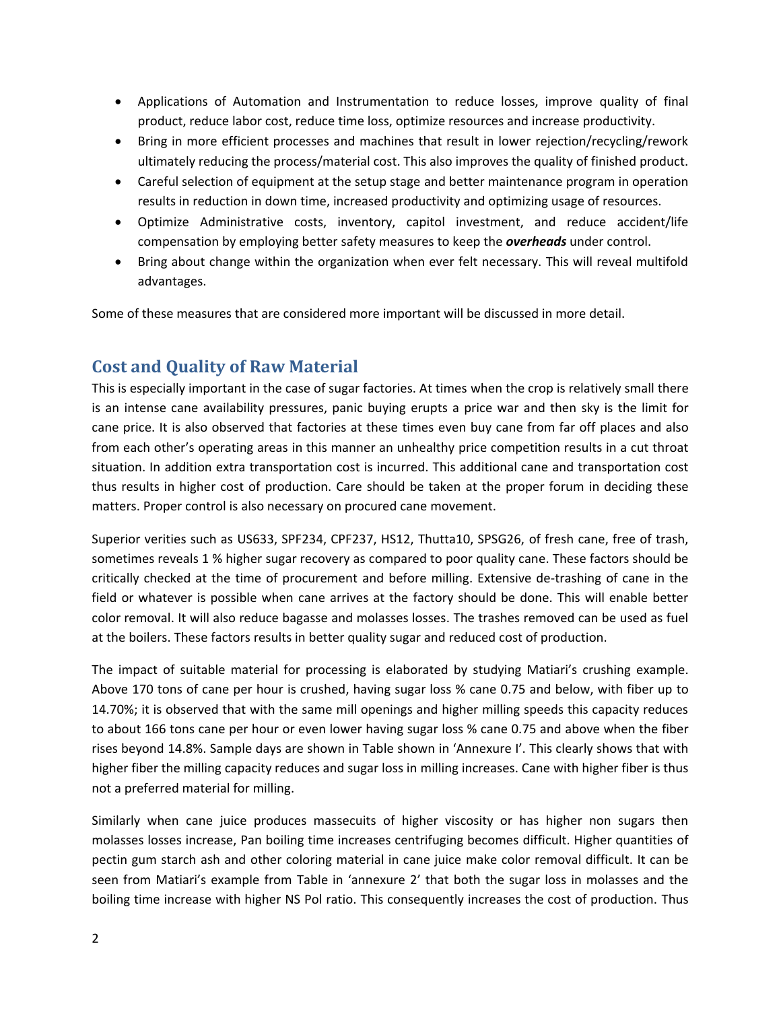- Applications of Automation and Instrumentation to reduce losses, improve quality of final product, reduce labor cost, reduce time loss, optimize resources and increase productivity.
- Bring in more efficient processes and machines that result in lower rejection/recycling/rework ultimately reducing the process/material cost. This also improves the quality of finished product.
- Careful selection of equipment at the setup stage and better maintenance program in operation results in reduction in down time, increased productivity and optimizing usage of resources.
- Optimize Administrative costs, inventory, capitol investment, and reduce accident/life compensation by employing better safety measures to keep the *overheads* under control.
- Bring about change within the organization when ever felt necessary. This will reveal multifold advantages.

Some of these measures that are considered more important will be discussed in more detail.

## **Cost and Quality of Raw Material**

This is especially important in the case of sugar factories. At times when the crop is relatively small there is an intense cane availability pressures, panic buying erupts a price war and then sky is the limit for cane price. It is also observed that factories at these times even buy cane from far off places and also from each other's operating areas in this manner an unhealthy price competition results in a cut throat situation. In addition extra transportation cost is incurred. This additional cane and transportation cost thus results in higher cost of production. Care should be taken at the proper forum in deciding these matters. Proper control is also necessary on procured cane movement.

Superior verities such as US633, SPF234, CPF237, HS12, Thutta10, SPSG26, of fresh cane, free of trash, sometimes reveals 1 % higher sugar recovery as compared to poor quality cane. These factors should be critically checked at the time of procurement and before milling. Extensive de-trashing of cane in the field or whatever is possible when cane arrives at the factory should be done. This will enable better color removal. It will also reduce bagasse and molasses losses. The trashes removed can be used as fuel at the boilers. These factors results in better quality sugar and reduced cost of production.

The impact of suitable material for processing is elaborated by studying Matiari's crushing example. Above 170 tons of cane per hour is crushed, having sugar loss % cane 0.75 and below, with fiber up to 14.70%; it is observed that with the same mill openings and higher milling speeds this capacity reduces to about 166 tons cane per hour or even lower having sugar loss % cane 0.75 and above when the fiber rises beyond 14.8%. Sample days are shown in Table shown in 'Annexure I'. This clearly shows that with higher fiber the milling capacity reduces and sugar loss in milling increases. Cane with higher fiber is thus not a preferred material for milling.

Similarly when cane juice produces massecuits of higher viscosity or has higher non sugars then molasses losses increase, Pan boiling time increases centrifuging becomes difficult. Higher quantities of pectin gum starch ash and other coloring material in cane juice make color removal difficult. It can be seen from Matiari's example from Table in 'annexure 2' that both the sugar loss in molasses and the boiling time increase with higher NS Pol ratio. This consequently increases the cost of production. Thus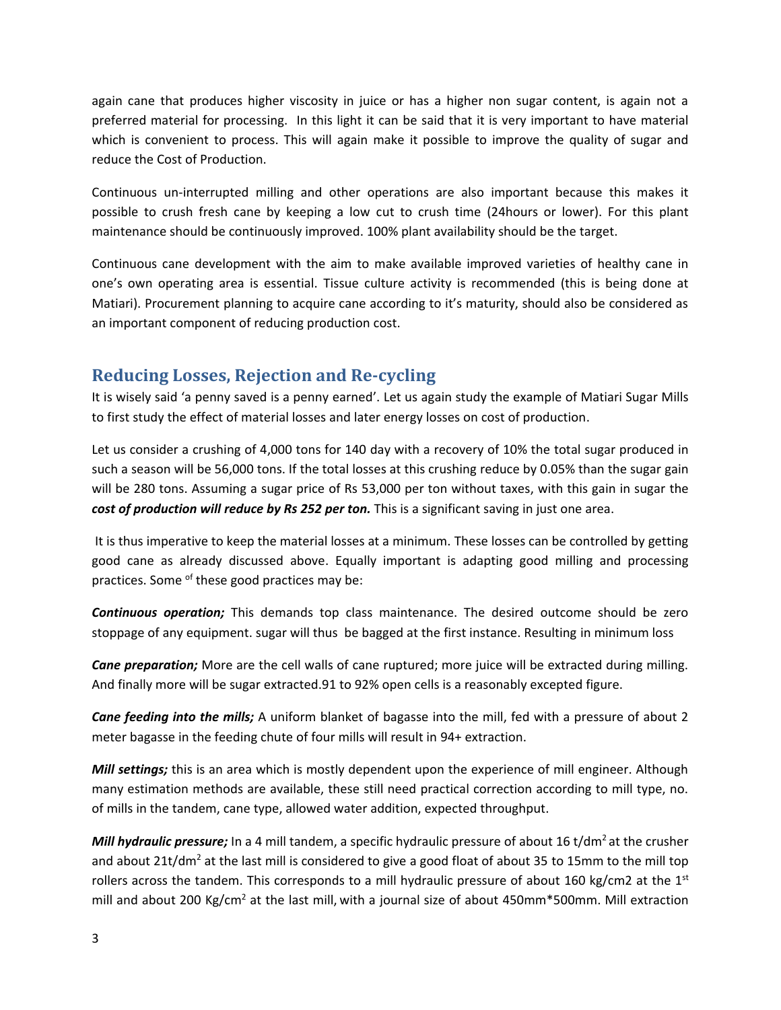again cane that produces higher viscosity in juice or has a higher non sugar content, is again not a preferred material for processing. In this light it can be said that it is very important to have material which is convenient to process. This will again make it possible to improve the quality of sugar and reduce the Cost of Production.

Continuous un-interrupted milling and other operations are also important because this makes it possible to crush fresh cane by keeping a low cut to crush time (24hours or lower). For this plant maintenance should be continuously improved. 100% plant availability should be the target.

Continuous cane development with the aim to make available improved varieties of healthy cane in one's own operating area is essential. Tissue culture activity is recommended (this is being done at Matiari). Procurement planning to acquire cane according to it's maturity, should also be considered as an important component of reducing production cost.

## **Reducing Losses, Rejection and Re-cycling**

It is wisely said 'a penny saved is a penny earned'. Let us again study the example of Matiari Sugar Mills to first study the effect of material losses and later energy losses on cost of production.

Let us consider a crushing of 4,000 tons for 140 day with a recovery of 10% the total sugar produced in such a season will be 56,000 tons. If the total losses at this crushing reduce by 0.05% than the sugar gain will be 280 tons. Assuming a sugar price of Rs 53,000 per ton without taxes, with this gain in sugar the *cost of production will reduce by Rs 252 per ton.* This is a significant saving in just one area.

It is thus imperative to keep the material losses at a minimum. These losses can be controlled by getting good cane as already discussed above. Equally important is adapting good milling and processing practices. Some of these good practices may be:

*Continuous operation;* This demands top class maintenance. The desired outcome should be zero stoppage of any equipment. sugar will thus be bagged at the first instance. Resulting in minimum loss

*Cane preparation;* More are the cell walls of cane ruptured; more juice will be extracted during milling. And finally more will be sugar extracted.91 to 92% open cells is a reasonably excepted figure.

*Cane feeding into the mills;* A uniform blanket of bagasse into the mill, fed with a pressure of about 2 meter bagasse in the feeding chute of four mills will result in 94+ extraction.

*Mill settings;* this is an area which is mostly dependent upon the experience of mill engineer. Although many estimation methods are available, these still need practical correction according to mill type, no. of mills in the tandem, cane type, allowed water addition, expected throughput.

*Mill hydraulic pressure;* In a 4 mill tandem, a specific hydraulic pressure of about 16 t/dm<sup>2</sup> at the crusher and about 21t/dm<sup>2</sup> at the last mill is considered to give a good float of about 35 to 15mm to the mill top rollers across the tandem. This corresponds to a mill hydraulic pressure of about 160 kg/cm2 at the  $1<sup>st</sup>$ mill and about 200 Kg/cm<sup>2</sup> at the last mill, with a journal size of about 450mm\*500mm. Mill extraction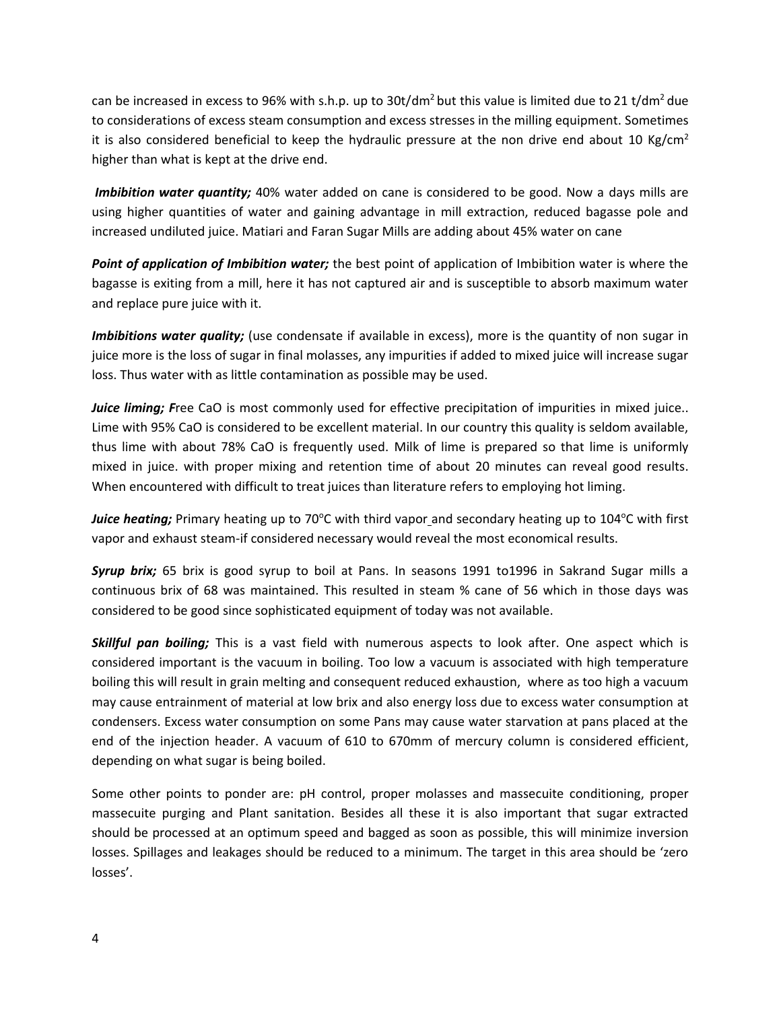can be increased in excess to 96% with s.h.p. up to 30t/dm<sup>2</sup> but this value is limited due to 21 t/dm<sup>2</sup> due to considerations of excess steam consumption and excess stresses in the milling equipment. Sometimes it is also considered beneficial to keep the hydraulic pressure at the non drive end about 10 Kg/cm<sup>2</sup> higher than what is kept at the drive end.

*Imbibition water quantity;* 40% water added on cane is considered to be good. Now a days mills are using higher quantities of water and gaining advantage in mill extraction, reduced bagasse pole and increased undiluted juice. Matiari and Faran Sugar Mills are adding about 45% water on cane

*Point of application of Imbibition water;* the best point of application of Imbibition water is where the bagasse is exiting from a mill, here it has not captured air and is susceptible to absorb maximum water and replace pure juice with it.

*Imbibitions water quality;* (use condensate if available in excess), more is the quantity of non sugar in juice more is the loss of sugar in final molasses, any impurities if added to mixed juice will increase sugar loss. Thus water with as little contamination as possible may be used.

*Juice liming; F*ree CaO is most commonly used for effective precipitation of impurities in mixed juice.. Lime with 95% CaO is considered to be excellent material. In our country this quality is seldom available, thus lime with about 78% CaO is frequently used. Milk of lime is prepared so that lime is uniformly mixed in juice. with proper mixing and retention time of about 20 minutes can reveal good results. When encountered with difficult to treat juices than literature refers to employing hot liming.

Juice heating; Primary heating up to 70°C with third vapor and secondary heating up to 104°C with first vapor and exhaust steam-if considered necessary would reveal the most economical results.

*Syrup brix;* 65 brix is good syrup to boil at Pans. In seasons 1991 to1996 in Sakrand Sugar mills a continuous brix of 68 was maintained. This resulted in steam % cane of 56 which in those days was considered to be good since sophisticated equipment of today was not available.

*Skillful pan boiling;* This is a vast field with numerous aspects to look after. One aspect which is considered important is the vacuum in boiling. Too low a vacuum is associated with high temperature boiling this will result in grain melting and consequent reduced exhaustion, where as too high a vacuum may cause entrainment of material at low brix and also energy loss due to excess water consumption at condensers. Excess water consumption on some Pans may cause water starvation at pans placed at the end of the injection header. A vacuum of 610 to 670mm of mercury column is considered efficient, depending on what sugar is being boiled.

Some other points to ponder are: pH control, proper molasses and massecuite conditioning, proper massecuite purging and Plant sanitation. Besides all these it is also important that sugar extracted should be processed at an optimum speed and bagged as soon as possible, this will minimize inversion losses. Spillages and leakages should be reduced to a minimum. The target in this area should be 'zero losses'.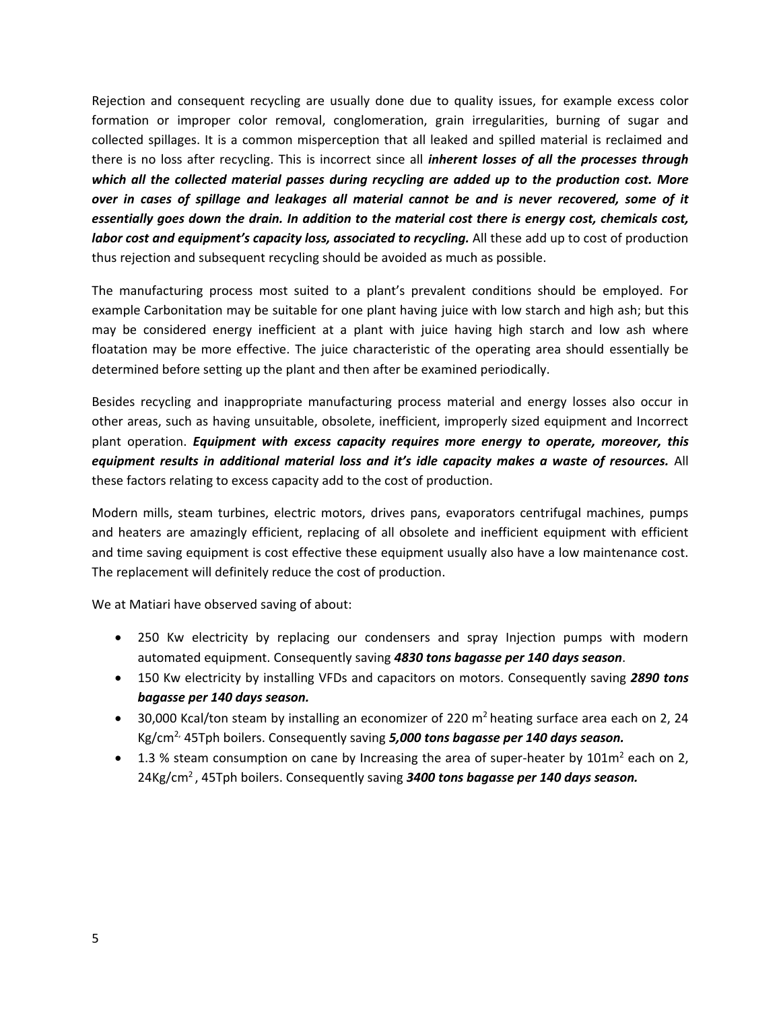Rejection and consequent recycling are usually done due to quality issues, for example excess color formation or improper color removal, conglomeration, grain irregularities, burning of sugar and collected spillages. It is a common misperception that all leaked and spilled material is reclaimed and there is no loss after recycling. This is incorrect since all *inherent losses of all the processes through which all the collected material passes during recycling are added up to the production cost. More over in cases of spillage and leakages all material cannot be and is never recovered, some of it essentially goes down the drain. In addition to the material cost there is energy cost, chemicals cost, labor cost and equipment's capacity loss, associated to recycling.* All these add up to cost of production thus rejection and subsequent recycling should be avoided as much as possible.

The manufacturing process most suited to a plant's prevalent conditions should be employed. For example Carbonitation may be suitable for one plant having juice with low starch and high ash; but this may be considered energy inefficient at a plant with juice having high starch and low ash where floatation may be more effective. The juice characteristic of the operating area should essentially be determined before setting up the plant and then after be examined periodically.

Besides recycling and inappropriate manufacturing process material and energy losses also occur in other areas, such as having unsuitable, obsolete, inefficient, improperly sized equipment and Incorrect plant operation. *Equipment with excess capacity requires more energy to operate, moreover, this equipment results in additional material loss and it's idle capacity makes a waste of resources.* All these factors relating to excess capacity add to the cost of production.

Modern mills, steam turbines, electric motors, drives pans, evaporators centrifugal machines, pumps and heaters are amazingly efficient, replacing of all obsolete and inefficient equipment with efficient and time saving equipment is cost effective these equipment usually also have a low maintenance cost. The replacement will definitely reduce the cost of production.

We at Matiari have observed saving of about:

- 250 Kw electricity by replacing our condensers and spray Injection pumps with modern automated equipment. Consequently saving *4830 tons bagasse per 140 days season*.
- 150 Kw electricity by installing VFDs and capacitors on motors. Consequently saving *2890 tons bagasse per 140 days season.*
- 30,000 Kcal/ton steam by installing an economizer of 220  $m<sup>2</sup>$  heating surface area each on 2, 24 Kg/cm2, 45Tph boilers. Consequently saving *5,000 tons bagasse per 140 days season.*
- 1.3 % steam consumption on cane by Increasing the area of super-heater by 101 $m^2$  each on 2, 24Kg/cm<sup>2</sup> , 45Tph boilers. Consequently saving *3400 tons bagasse per 140 days season.*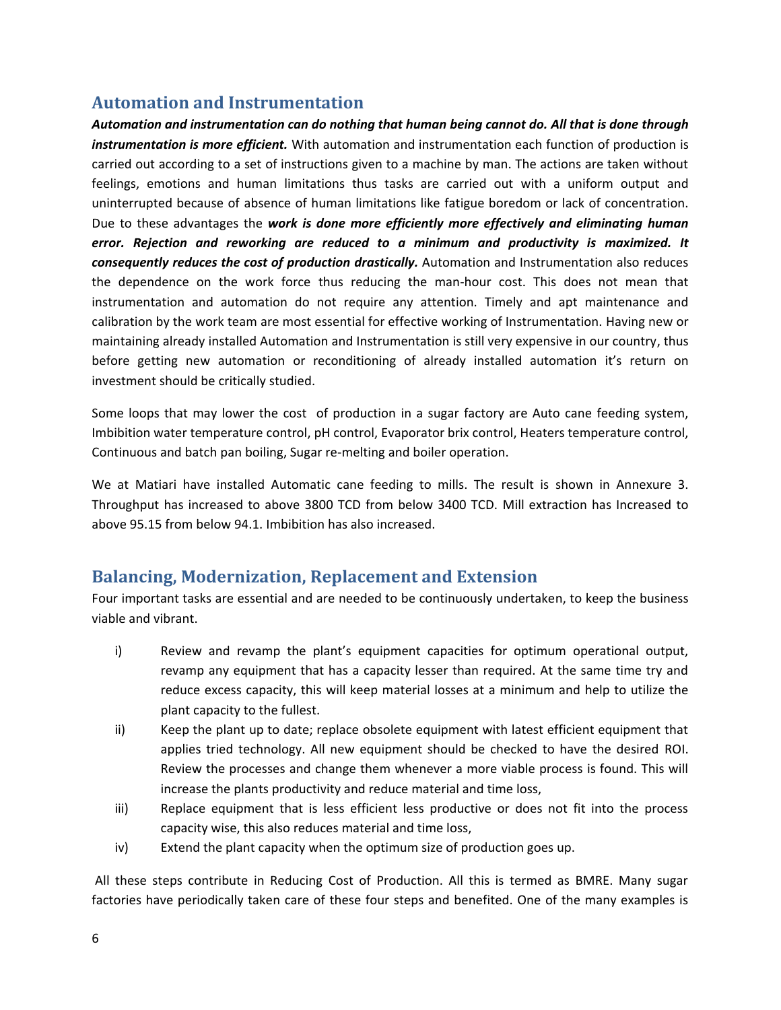### **Automation and Instrumentation**

*Automation and instrumentation can do nothing that human being cannot do. All that is done through instrumentation is more efficient.* With automation and instrumentation each function of production is carried out according to a set of instructions given to a machine by man. The actions are taken without feelings, emotions and human limitations thus tasks are carried out with a uniform output and uninterrupted because of absence of human limitations like fatigue boredom or lack of concentration. Due to these advantages the *work is done more efficiently more effectively and eliminating human error. Rejection and reworking are reduced to a minimum and productivity is maximized. It consequently reduces the cost of production drastically.* Automation and Instrumentation also reduces the dependence on the work force thus reducing the man-hour cost. This does not mean that instrumentation and automation do not require any attention. Timely and apt maintenance and calibration by the work team are most essential for effective working of Instrumentation. Having new or maintaining already installed Automation and Instrumentation is still very expensive in our country, thus before getting new automation or reconditioning of already installed automation it's return on investment should be critically studied.

Some loops that may lower the cost of production in a sugar factory are Auto cane feeding system, Imbibition water temperature control, pH control, Evaporator brix control, Heaters temperature control, Continuous and batch pan boiling, Sugar re-melting and boiler operation.

We at Matiari have installed Automatic cane feeding to mills. The result is shown in Annexure 3. Throughput has increased to above 3800 TCD from below 3400 TCD. Mill extraction has Increased to above 95.15 from below 94.1. Imbibition has also increased.

## **Balancing, Modernization, Replacement and Extension**

Four important tasks are essential and are needed to be continuously undertaken, to keep the business viable and vibrant.

- i) Review and revamp the plant's equipment capacities for optimum operational output, revamp any equipment that has a capacity lesser than required. At the same time try and reduce excess capacity, this will keep material losses at a minimum and help to utilize the plant capacity to the fullest.
- ii) Keep the plant up to date; replace obsolete equipment with latest efficient equipment that applies tried technology. All new equipment should be checked to have the desired ROI. Review the processes and change them whenever a more viable process is found. This will increase the plants productivity and reduce material and time loss,
- iii) Replace equipment that is less efficient less productive or does not fit into the process capacity wise, this also reduces material and time loss,
- iv) Extend the plant capacity when the optimum size of production goes up.

All these steps contribute in Reducing Cost of Production. All this is termed as BMRE. Many sugar factories have periodically taken care of these four steps and benefited. One of the many examples is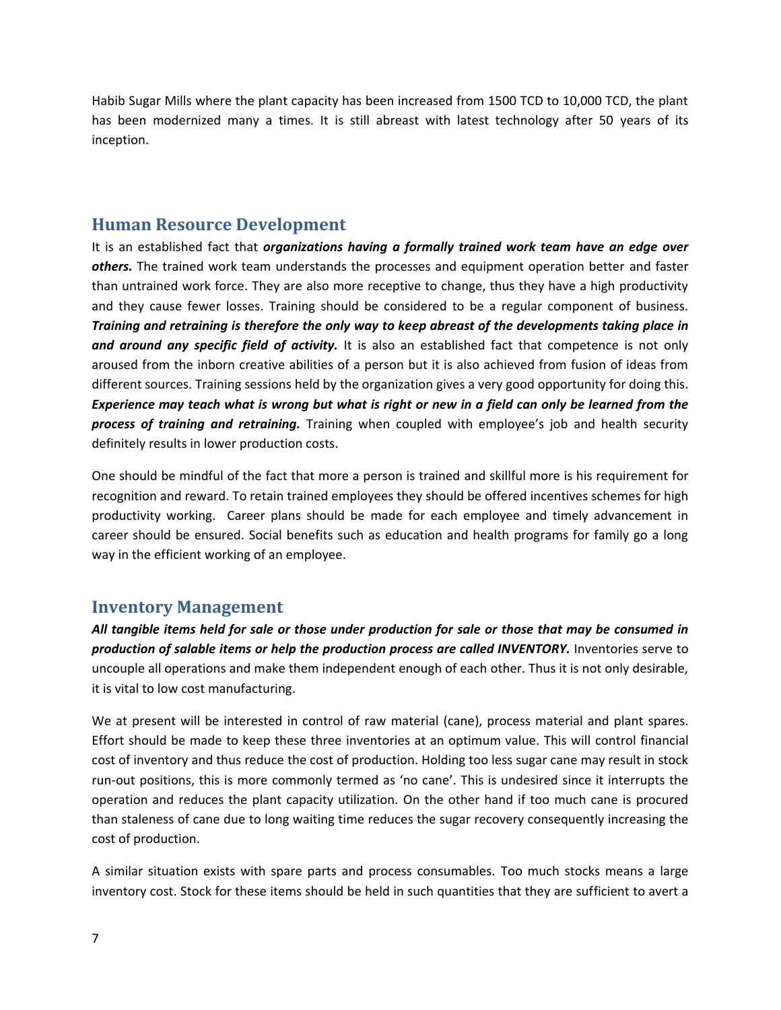Habib Sugar Mills where the plant capacity has been increased from 1500 TCD to 10,000 TCD, the plant has been modernized many a times. It is still abreast with latest technology after 50 years of its inception.

### **Human Resource Development**

It is an established fact that *organizations having a formally trained work team have an edge over others.* The trained work team understands the processes and equipment operation better and faster than untrained work force. They are also more receptive to change, thus they have a high productivity and they cause fewer losses. Training should be considered to be a regular component of business. *Training and retraining is therefore the only way to keep abreast of the developments taking place in and around any specific field of activity.* It is also an established fact that competence is not only aroused from the inborn creative abilities of a person but it is also achieved from fusion of ideas from different sources. Training sessions held by the organization gives a very good opportunity for doing this. *Experience may teach what is wrong but what is right or new in a field can only be learned from the process of training and retraining.* Training when coupled with employee's job and health security definitely results in lower production costs.

One should be mindful of the fact that more a person is trained and skillful more is his requirement for recognition and reward. To retain trained employees they should be offered incentives schemes for high productivity working. Career plans should be made for each employee and timely advancement in career should be ensured. Social benefits such as education and health programs for family go a long way in the efficient working of an employee.

### **Inventory Management**

*All tangible items held for sale or those under production for sale or those that may be consumed in production of salable items or help the production process are called INVENTORY.* Inventories serve to uncouple all operations and make them independent enough of each other. Thus it is not only desirable, it is vital to low cost manufacturing.

We at present will be interested in control of raw material (cane), process material and plant spares. Effort should be made to keep these three inventories at an optimum value. This will control financial cost of inventory and thus reduce the cost of production. Holding too less sugar cane may result in stock run-out positions, this is more commonly termed as 'no cane'. This is undesired since it interrupts the operation and reduces the plant capacity utilization. On the other hand if too much cane is procured than staleness of cane due to long waiting time reduces the sugar recovery consequently increasing the cost of production.

A similar situation exists with spare parts and process consumables. Too much stocks means a large inventory cost. Stock for these items should be held in such quantities that they are sufficient to avert a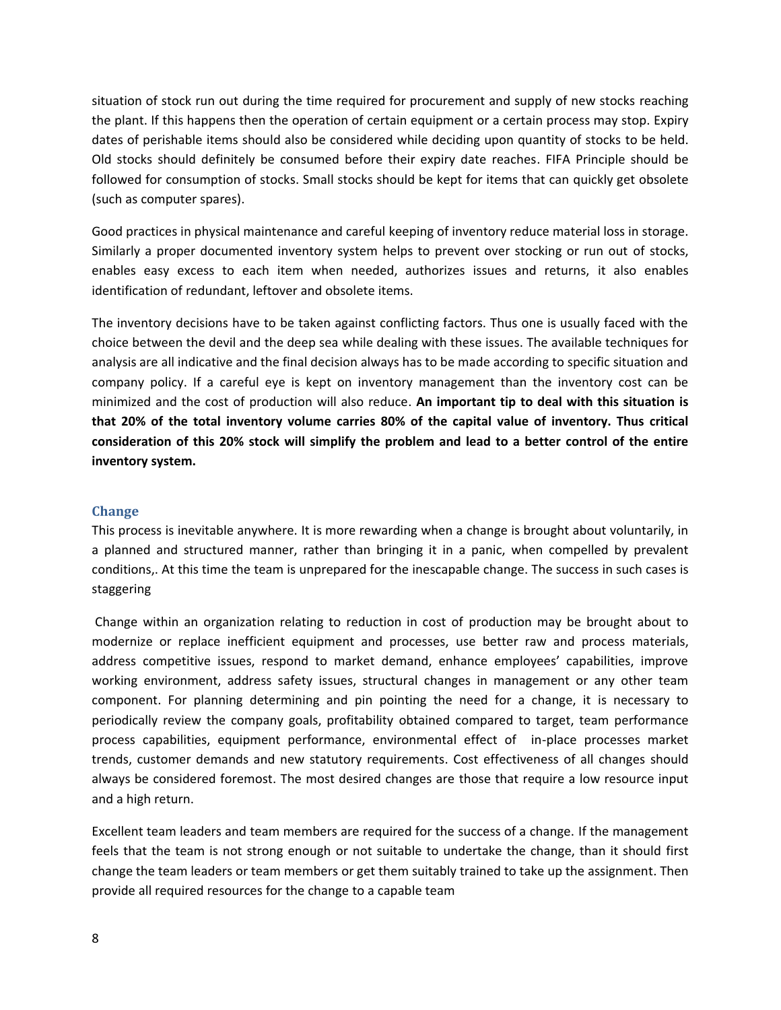situation of stock run out during the time required for procurement and supply of new stocks reaching the plant. If this happens then the operation of certain equipment or a certain process may stop. Expiry dates of perishable items should also be considered while deciding upon quantity of stocks to be held. Old stocks should definitely be consumed before their expiry date reaches. FIFA Principle should be followed for consumption of stocks. Small stocks should be kept for items that can quickly get obsolete (such as computer spares).

Good practices in physical maintenance and careful keeping of inventory reduce material loss in storage. Similarly a proper documented inventory system helps to prevent over stocking or run out of stocks, enables easy excess to each item when needed, authorizes issues and returns, it also enables identification of redundant, leftover and obsolete items.

The inventory decisions have to be taken against conflicting factors. Thus one is usually faced with the choice between the devil and the deep sea while dealing with these issues. The available techniques for analysis are all indicative and the final decision always has to be made according to specific situation and company policy. If a careful eye is kept on inventory management than the inventory cost can be minimized and the cost of production will also reduce. **An important tip to deal with this situation is that 20% of the total inventory volume carries 80% of the capital value of inventory. Thus critical consideration of this 20% stock will simplify the problem and lead to a better control of the entire inventory system.**

#### **Change**

This process is inevitable anywhere. It is more rewarding when a change is brought about voluntarily, in a planned and structured manner, rather than bringing it in a panic, when compelled by prevalent conditions,. At this time the team is unprepared for the inescapable change. The success in such cases is staggering

Change within an organization relating to reduction in cost of production may be brought about to modernize or replace inefficient equipment and processes, use better raw and process materials, address competitive issues, respond to market demand, enhance employees' capabilities, improve working environment, address safety issues, structural changes in management or any other team component. For planning determining and pin pointing the need for a change, it is necessary to periodically review the company goals, profitability obtained compared to target, team performance process capabilities, equipment performance, environmental effect of in-place processes market trends, customer demands and new statutory requirements. Cost effectiveness of all changes should always be considered foremost. The most desired changes are those that require a low resource input and a high return.

Excellent team leaders and team members are required for the success of a change. If the management feels that the team is not strong enough or not suitable to undertake the change, than it should first change the team leaders or team members or get them suitably trained to take up the assignment. Then provide all required resources for the change to a capable team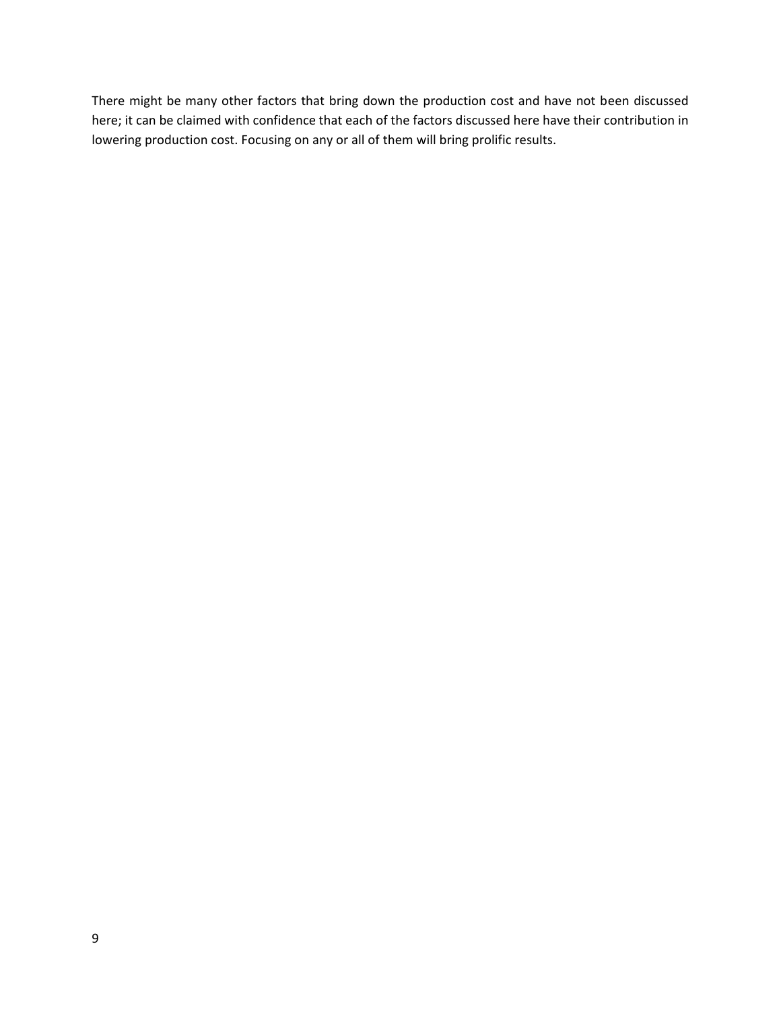There might be many other factors that bring down the production cost and have not been discussed here; it can be claimed with confidence that each of the factors discussed here have their contribution in lowering production cost. Focusing on any or all of them will bring prolific results.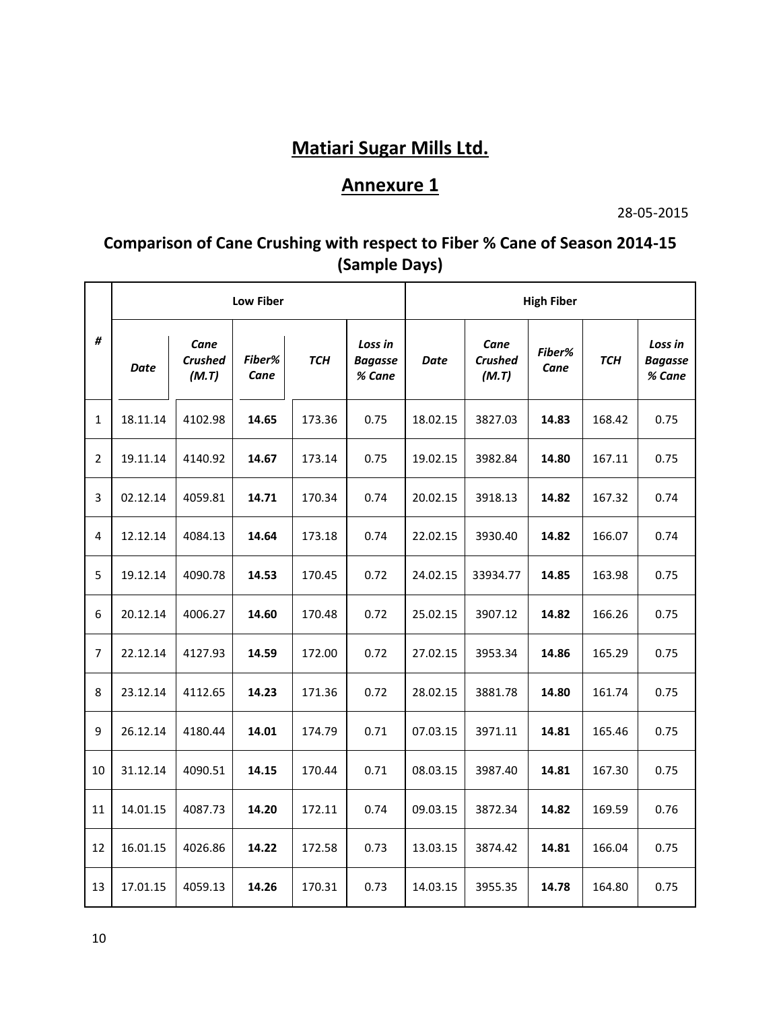# **Matiari Sugar Mills Ltd.**

## **Annexure 1**

28-05-2015

## **Comparison of Cane Crushing with respect to Fiber % Cane of Season 2014-15 (Sample Days)**

|                | <b>Low Fiber</b> |                                 |                |            |                                     | <b>High Fiber</b> |                                 |                |            |                                     |  |  |
|----------------|------------------|---------------------------------|----------------|------------|-------------------------------------|-------------------|---------------------------------|----------------|------------|-------------------------------------|--|--|
| #              | Date             | Cane<br><b>Crushed</b><br>(M.T) | Fiber%<br>Cane | <b>TCH</b> | Loss in<br><b>Bagasse</b><br>% Cane | <b>Date</b>       | Cane<br><b>Crushed</b><br>(M.T) | Fiber%<br>Cane | <b>TCH</b> | Loss in<br><b>Bagasse</b><br>% Cane |  |  |
| $\mathbf{1}$   | 18.11.14         | 4102.98                         | 14.65          | 173.36     | 0.75                                | 18.02.15          | 3827.03                         | 14.83          | 168.42     | 0.75                                |  |  |
| $\overline{2}$ | 19.11.14         | 4140.92                         | 14.67          | 173.14     | 0.75                                | 19.02.15          | 3982.84                         | 14.80          | 167.11     | 0.75                                |  |  |
| 3              | 02.12.14         | 4059.81                         | 14.71          | 170.34     | 0.74                                | 20.02.15          | 3918.13                         | 14.82          | 167.32     | 0.74                                |  |  |
| 4              | 12.12.14         | 4084.13                         | 14.64          | 173.18     | 0.74                                | 22.02.15          | 3930.40                         | 14.82          | 166.07     | 0.74                                |  |  |
| 5              | 19.12.14         | 4090.78                         | 14.53          | 170.45     | 0.72                                | 24.02.15          | 33934.77                        | 14.85          | 163.98     | 0.75                                |  |  |
| 6              | 20.12.14         | 4006.27                         | 14.60          | 170.48     | 0.72                                | 25.02.15          | 3907.12                         | 14.82          | 166.26     | 0.75                                |  |  |
| $\overline{7}$ | 22.12.14         | 4127.93                         | 14.59          | 172.00     | 0.72                                | 27.02.15          | 3953.34                         | 14.86          | 165.29     | 0.75                                |  |  |
| 8              | 23.12.14         | 4112.65                         | 14.23          | 171.36     | 0.72                                | 28.02.15          | 3881.78                         | 14.80          | 161.74     | 0.75                                |  |  |
| 9              | 26.12.14         | 4180.44                         | 14.01          | 174.79     | 0.71                                | 07.03.15          | 3971.11                         | 14.81          | 165.46     | 0.75                                |  |  |
| 10             | 31.12.14         | 4090.51                         | 14.15          | 170.44     | 0.71                                | 08.03.15          | 3987.40                         | 14.81          | 167.30     | 0.75                                |  |  |
| 11             | 14.01.15         | 4087.73                         | 14.20          | 172.11     | 0.74                                | 09.03.15          | 3872.34                         | 14.82          | 169.59     | 0.76                                |  |  |
| 12             | 16.01.15         | 4026.86                         | 14.22          | 172.58     | 0.73                                | 13.03.15          | 3874.42                         | 14.81          | 166.04     | 0.75                                |  |  |
| 13             | 17.01.15         | 4059.13                         | 14.26          | 170.31     | 0.73                                | 14.03.15          | 3955.35                         | 14.78          | 164.80     | 0.75                                |  |  |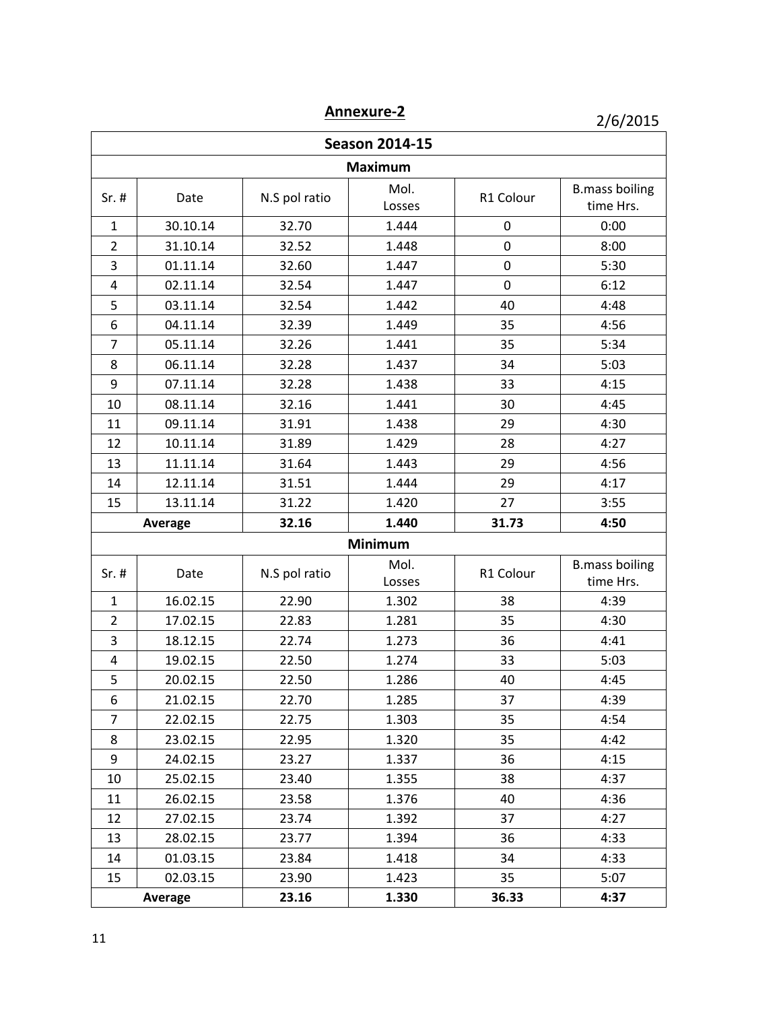**Annexure-2**

2/6/2015

| <b>Season 2014-15</b> |                   |               |                |           |                                    |  |  |  |  |
|-----------------------|-------------------|---------------|----------------|-----------|------------------------------------|--|--|--|--|
| <b>Maximum</b>        |                   |               |                |           |                                    |  |  |  |  |
| $Sr.$ #               | Date              | N.S pol ratio | Mol.<br>Losses | R1 Colour | <b>B.mass boiling</b><br>time Hrs. |  |  |  |  |
| $\mathbf{1}$          | 30.10.14<br>32.70 |               | 1.444          | 0         | 0:00                               |  |  |  |  |
| $\overline{2}$        | 31.10.14          | 32.52         | 1.448          | 0         | 8:00                               |  |  |  |  |
| 3                     | 01.11.14          | 32.60         | 1.447          | 0         | 5:30                               |  |  |  |  |
| 4                     | 02.11.14          | 32.54         | 1.447          | 0         | 6:12                               |  |  |  |  |
| 5                     | 03.11.14          | 32.54         | 1.442          | 40        | 4:48                               |  |  |  |  |
| 6                     | 04.11.14          | 32.39         | 1.449          | 35        | 4:56                               |  |  |  |  |
| 7                     | 05.11.14          | 32.26         | 1.441          | 35        | 5:34                               |  |  |  |  |
| 8                     | 06.11.14          | 32.28         | 1.437          | 34        | 5:03                               |  |  |  |  |
| 9                     | 07.11.14          | 32.28         | 1.438          | 33        | 4:15                               |  |  |  |  |
| 10                    | 08.11.14          | 32.16         | 1.441          | 30        | 4:45                               |  |  |  |  |
| 11                    | 09.11.14          | 31.91         | 1.438          | 29        | 4:30                               |  |  |  |  |
| 12                    | 10.11.14          | 31.89         | 1.429          | 28        | 4:27                               |  |  |  |  |
| 13                    | 11.11.14          | 31.64         | 1.443          | 29        | 4:56                               |  |  |  |  |
| 14                    | 12.11.14          | 31.51         | 1.444          | 29        | 4:17                               |  |  |  |  |
| 15                    | 13.11.14          | 31.22         | 1.420          | 27        | 3:55                               |  |  |  |  |
|                       | Average           | 32.16         | 1.440          | 31.73     | 4:50                               |  |  |  |  |
| Minimum               |                   |               |                |           |                                    |  |  |  |  |
| $Sr.$ #               | Date              | N.S pol ratio | Mol.           | R1 Colour | <b>B.mass boiling</b>              |  |  |  |  |
|                       |                   |               | Losses         |           | time Hrs.                          |  |  |  |  |
| $\mathbf{1}$          | 16.02.15          | 22.90         | 1.302          | 38        | 4:39                               |  |  |  |  |
| $\overline{2}$        | 17.02.15          | 22.83         | 1.281          | 35        | 4:30                               |  |  |  |  |
| 3                     | 18.12.15          | 22.74         | 1.273          | 36        | 4:41                               |  |  |  |  |
| 4                     | 19.02.15          | 22.50         | 1.274          | 33        | 5:03                               |  |  |  |  |
| 5                     | 20.02.15          | 22.50         | 1.286          | 40        | 4:45                               |  |  |  |  |
| 6                     | 21.02.15          | 22.70         | 1.285          | 37        | 4:39                               |  |  |  |  |
| 7                     | 22.02.15          | 22.75         | 1.303          | 35        | 4:54                               |  |  |  |  |
| 8                     | 23.02.15          | 22.95         | 1.320          | 35        | 4:42                               |  |  |  |  |
| 9                     | 24.02.15          | 23.27         | 1.337          | 36        | 4:15                               |  |  |  |  |
| 10                    | 25.02.15          | 23.40         | 1.355          | 38        | 4:37                               |  |  |  |  |
| 11                    | 26.02.15          | 23.58         | 1.376          | 40        | 4:36                               |  |  |  |  |
| 12                    | 27.02.15          | 23.74         | 1.392          | 37        | 4:27                               |  |  |  |  |
| 13                    | 28.02.15          | 23.77         | 1.394          | 36        | 4:33                               |  |  |  |  |
| 14                    | 01.03.15          | 23.84         | 1.418          | 34        | 4:33                               |  |  |  |  |
| 15                    | 02.03.15          | 23.90         | 1.423          | 35        | 5:07                               |  |  |  |  |
|                       | Average           | 23.16         | 1.330          | 36.33     | 4:37                               |  |  |  |  |